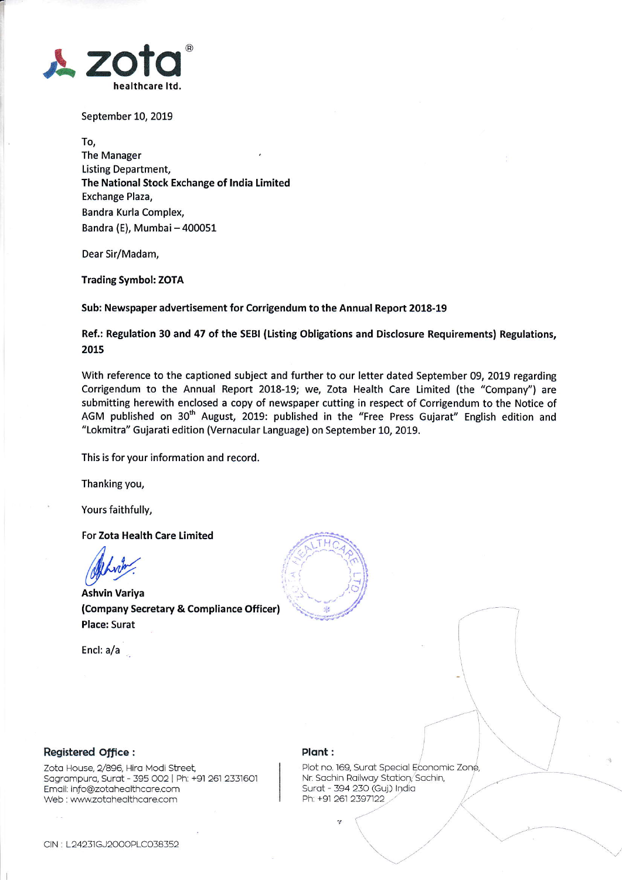

September 10, 2019

To, The Manager Listing Department, The National Stock Exchange of lndia Limited Exchange Plaza, Bandra Kurla Comple& Bandra (E), Mumbai - 400051

Dear Sir/Madam,

Trading Symbol: ZOTA

Sub: Newspaper advertisement for Corrigendum to the Annual Report 2018-19

Ref.: Regulation 30 and 47 of the SEBI (Listing Obligations and Disclosure Requirements) Regulations, 2015

With reference to the captioned subject and further to our letter dated September 09, 2019 regarding Corrigendum to the Annual Report 2018-19; we, Zota Health Care Limited (the "Company'') are submitting herewith enclosed a copy of newspaper cutting in respect of Corrigendum to the Notice of AGM published on 30<sup>th</sup> August, 2019: published in the "Free Press Gujarat" English edition and "Lokmitra" Gujarati edition (Vernacular Language) on September 10, 2019.

This is for your information and record.

Thanking you,

Yours faithfully,

For Zota Health Care Limited

/1

Ashvin Variya (Company Secretary & Compliance Officer) Place: Surat

Encl: a/a



## Registered office :

Zota House, 2/896, Hira Modi Street, Sagrampura, Surat - 395 002 | Ph; +91 261 2331601 Emoil: info@zotoheolthcore.com Web : www.zotahealthcare.com

## Plant :

plot no. 169, Surot Speciol Economic Zone, Nr. Sachin Railway Station, Sachin, Surat - 394 230 (Guj.) India Ph: +91 261 2397122

 $\mathcal{L}$ 

 $\overline{f}$ 

 $\ddot{\phantom{0}}$ 

 $\overbrace{\phantom{\qquad \qquad \qquad }}$ 

 $\diagdown\,$